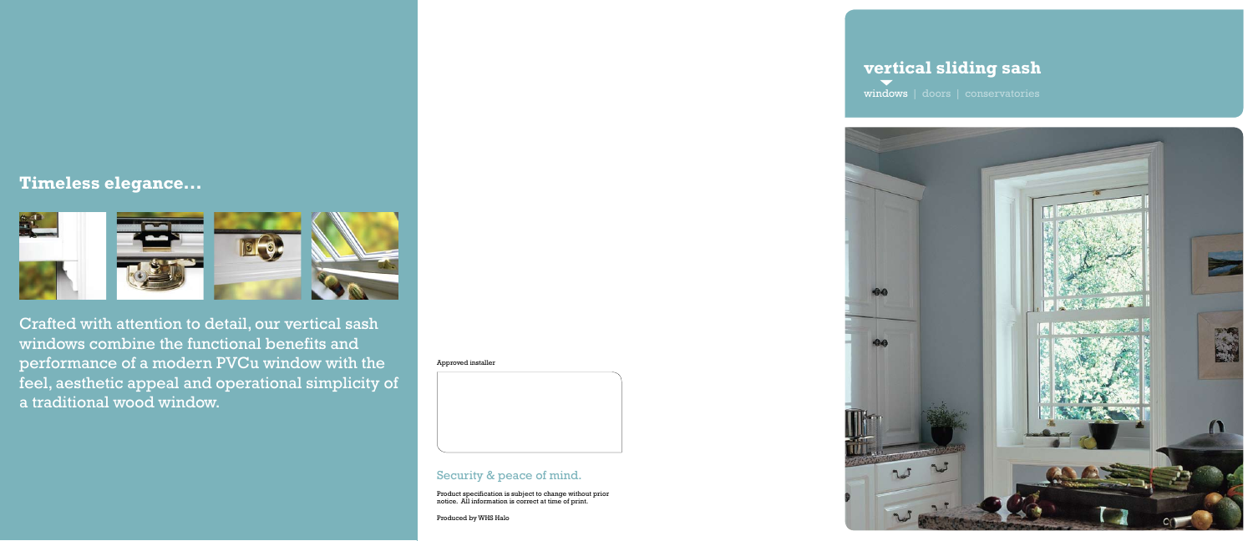Approved installer

### Security & peace of mind.

Product specification is subject to change without prior notice. All information is correct at time of print.

Produced by WHS Halo

Crafted with attention to detail, our vertical sash windows combine the functional benefits and performance of a modern PVCu window with the feel, aesthetic appeal and operational simplicity of a traditional wood window.

# **vertical sliding sash**

windows | doors | conservatories







## **Timeless elegance...**